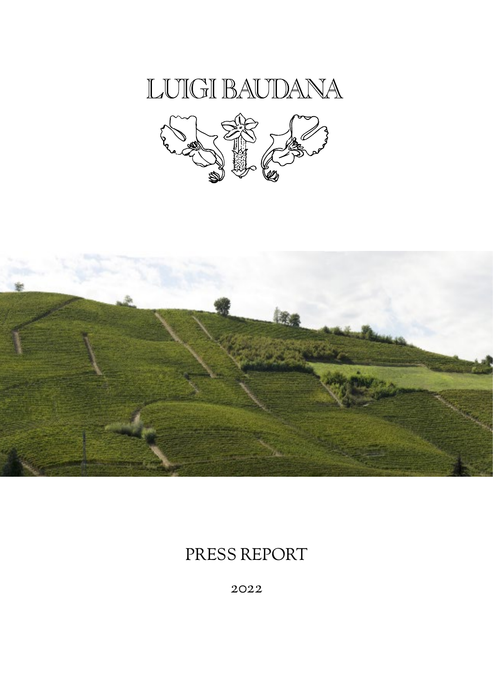





# PRESS REPORT

2022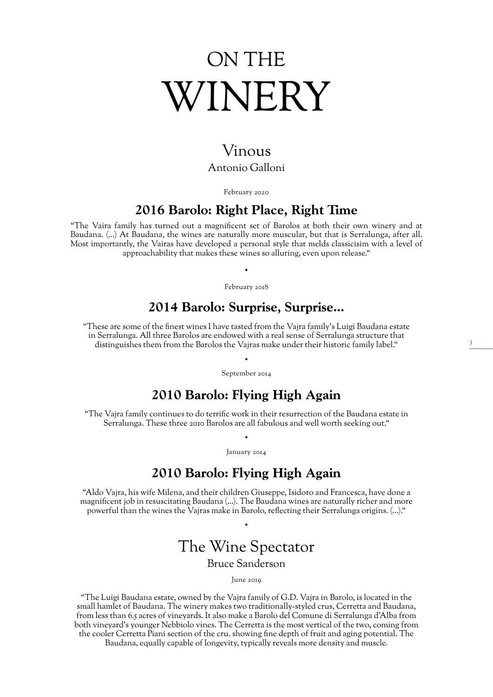# ON THE WINERY

## Vinous Antonio Galloni

February 2020

### **2016 Barolo: Right Place, Right Time**

"The Vaira family has turned out a magnificent set of Barolos at both their own winery and at Baudana. (…) At Baudana, the wines are naturally more muscular, but that is Serralunga, after all. Most importantly, the Vairas have developed a personal style that melds classicisim with a level of approachability that makes these wines so alluring, even upon release."

> • February 2018

## **2014 Barolo: Surprise, Surprise...**

"These are some of the finest wines I have tasted from the Vajra family's Luigi Baudana estate in Serralunga. All three Barolos are endowed with a real sense of Serralunga structure that distinguishes them from the Barolos the Vajras make under their historic family label."

> • September 2014

## **2010 Barolo: Flying High Again**

"The Vajra family continues to do terrific work in their resurrection of the Baudana estate in Serralunga. These three 2010 Barolos are all fabulous and well worth seeking out."

> • January 2014

# **2010 Barolo: Flying High Again**

"Aldo Vajra, his wife Milena, and their children Giuseppe, Isidoro and Francesca, have done a magnificent job in resuscitating Baudana (…). The Baudana wines are naturally richer and more powerful than the wines the Vajras make in Barolo, reflecting their Serralunga origins. (…)."

# The Wine Spectator

•

#### Bruce Sanderson

June 2019

"The Luigi Baudana estate, owned by the Vajra family of G.D. Vajra in Barolo, is located in the small hamlet of Baudana. The winery makes two traditionally-styled crus, Cerretta and Baudana, from less than 6.5 acres of vineyards. It also make a Barolo del Comune di Serralunga d'Alba from both vineyard's younger Nebbiolo vines. The Cerretta is the most vertical of the two, coming from the cooler Cerretta Piani section of the cru. showing fine depth of fruit and aging potential. The

Baudana, equally capable of longevity, typically reveals more density and muscle.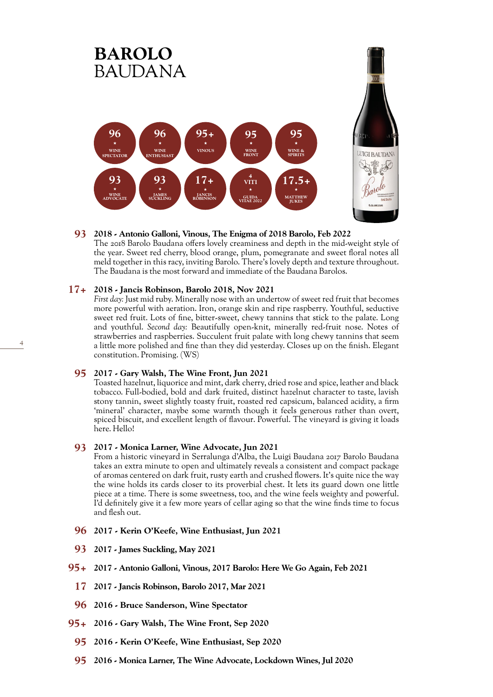

#### **2018 - Antonio Galloni, Vinous, The Enigma of 2018 Barolo, Feb 2022 93**

The 2018 Barolo Baudana offers lovely creaminess and depth in the mid-weight style of the year. Sweet red cherry, blood orange, plum, pomegranate and sweet floral notes all meld together in this racy, inviting Barolo. There's lovely depth and texture throughout. The Baudana is the most forward and immediate of the Baudana Barolos.

#### **2018 - Jancis Robinson, Barolo 2018, Nov 2021 17+**

*First day:* Just mid ruby. Minerally nose with an undertow of sweet red fruit that becomes more powerful with aeration. Iron, orange skin and ripe raspberry. Youthful, seductive sweet red fruit. Lots of fine, bitter-sweet, chewy tannins that stick to the palate. Long and youthful. *Second day:* Beautifully open-knit, minerally red-fruit nose. Notes of strawberries and raspberries. Succulent fruit palate with long chewy tannins that seem a little more polished and fine than they did yesterday. Closes up on the finish. Elegant constitution. Promising. (WS)

#### **2017 - Gary Walsh, The Wine Front, Jun 2021 95**

Toasted hazelnut, liquorice and mint, dark cherry, dried rose and spice, leather and black tobacco. Full-bodied, bold and dark fruited, distinct hazelnut character to taste, lavish stony tannin, sweet slightly toasty fruit, roasted red capsicum, balanced acidity, a firm 'mineral' character, maybe some warmth though it feels generous rather than overt, spiced biscuit, and excellent length of flavour. Powerful. The vineyard is giving it loads here. Hello!

#### **2017 - Monica Larner, Wine Advocate, Jun 2021 93**

From a historic vineyard in Serralunga d'Alba, the Luigi Baudana 2017 Barolo Baudana takes an extra minute to open and ultimately reveals a consistent and compact package of aromas centered on dark fruit, rusty earth and crushed flowers. It's quite nice the way the wine holds its cards closer to its proverbial chest. It lets its guard down one little piece at a time. There is some sweetness, too, and the wine feels weighty and powerful. I'd definitely give it a few more years of cellar aging so that the wine finds time to focus and flesh out.

- **96 2017 Kerin O'Keefe, Wine Enthusiast, Jun 2021**
- **93 2017 James Suckling, May 2021**
- **95+ 2017 Antonio Galloni, Vinous, 2017 Barolo: Here We Go Again, Feb 2021**
- **17 2017 Jancis Robinson, Barolo 2017, Mar 2021**
- **96 2016 Bruce Sanderson, Wine Spectator**
- **95+ 2016 Gary Walsh, The Wine Front, Sep 2020**
- **95 2016 Kerin O'Keefe, Wine Enthusiast, Sep 2020**
- **95 2016 Monica Larner, The Wine Advocate, Lockdown Wines, Jul 2020**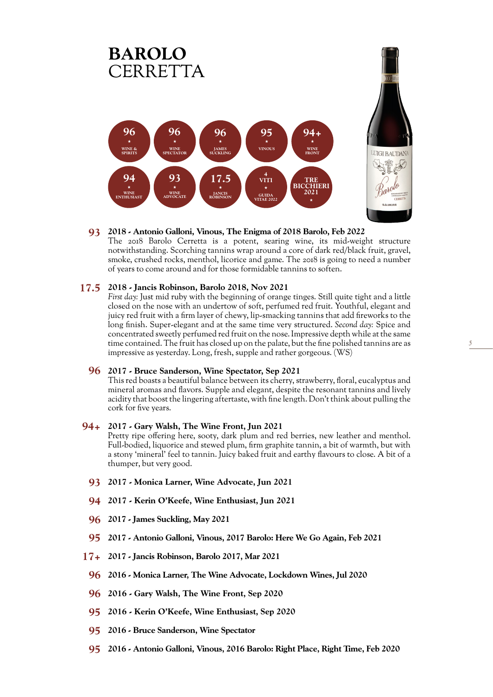

#### **2018 - Antonio Galloni, Vinous, The Enigma of 2018 Barolo, Feb 2022 93**

The 2018 Barolo Cerretta is a potent, searing wine, its mid-weight structure notwithstanding. Scorching tannins wrap around a core of dark red/black fruit, gravel, smoke, crushed rocks, menthol, licorice and game. The 2018 is going to need a number of years to come around and for those formidable tannins to soften.

#### **2018 - Jancis Robinson, Barolo 2018, Nov 2021 17.5**

*First day:* Just mid ruby with the beginning of orange tinges. Still quite tight and a little closed on the nose with an undertow of soft, perfumed red fruit. Youthful, elegant and juicy red fruit with a firm layer of chewy, lip-smacking tannins that add fireworks to the long finish. Super-elegant and at the same time very structured. *Second day:* Spice and concentrated sweetly perfumed red fruit on the nose. Impressive depth while at the same time contained. The fruit has closed up on the palate, but the fine polished tannins are as impressive as yesterday. Long, fresh, supple and rather gorgeous. (WS)

5

#### **2017 - Bruce Sanderson, Wine Spectator, Sep 2021 96**

This red boasts a beautiful balance between its cherry, strawberry, floral, eucalyptus and mineral aromas and flavors. Supple and elegant, despite the resonant tannins and lively acidity that boost the lingering aftertaste, with fine length. Don't think about pulling the cork for five years.

#### **2017 - Gary Walsh, The Wine Front, Jun 2021 94+**

Pretty ripe offering here, sooty, dark plum and red berries, new leather and menthol. Full-bodied, liquorice and stewed plum, firm graphite tannin, a bit of warmth, but with a stony 'mineral' feel to tannin. Juicy baked fruit and earthy flavours to close. A bit of a thumper, but very good.

- **93 2017 Monica Larner, Wine Advocate, Jun 2021**
- **94 2017 Kerin O'Keefe, Wine Enthusiast, Jun 2021**
- **96 2017 James Suckling, May 2021**
- **95 2017 Antonio Galloni, Vinous, 2017 Barolo: Here We Go Again, Feb 2021**
- **17+ 2017 Jancis Robinson, Barolo 2017, Mar 2021**
	- **96 2016 Monica Larner, The Wine Advocate, Lockdown Wines, Jul 2020**
	- **96 2016 Gary Walsh, The Wine Front, Sep 2020**
	- **95 2016 Kerin O'Keefe, Wine Enthusiast, Sep 2020**
	- **95 2016 Bruce Sanderson, Wine Spectator**
	- **95 2016 Antonio Galloni, Vinous, 2016 Barolo: Right Place, Right Time, Feb 2020**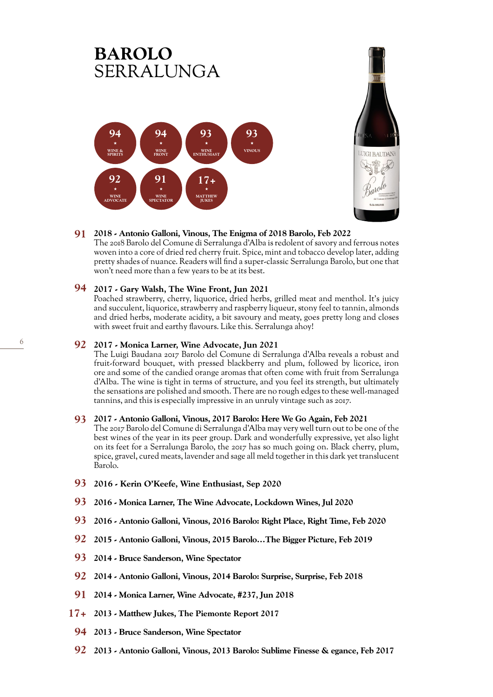

#### **2018 - Antonio Galloni, Vinous, The Enigma of 2018 Barolo, Feb 2022 91**

The 2018 Barolo del Comune di Serralunga d'Alba is redolent of savory and ferrous notes woven into a core of dried red cherry fruit. Spice, mint and tobacco develop later, adding pretty shades of nuance. Readers will find a super-classic Serralunga Barolo, but one that won't need more than a few years to be at its best.

#### **2017 - Gary Walsh, The Wine Front, Jun 2021 94**

Poached strawberry, cherry, liquorice, dried herbs, grilled meat and menthol. It's juicy and succulent, liquorice, strawberry and raspberry liqueur, stony feel to tannin, almonds and dried herbs, moderate acidity, a bit savoury and meaty, goes pretty long and closes with sweet fruit and earthy flavours. Like this. Serralunga ahoy!

#### **2017 - Monica Larner, Wine Advocate, Jun 2021 92**

The Luigi Baudana 2017 Barolo del Comune di Serralunga d'Alba reveals a robust and fruit-forward bouquet, with pressed blackberry and plum, followed by licorice, iron ore and some of the candied orange aromas that often come with fruit from Serralunga d'Alba. The wine is tight in terms of structure, and you feel its strength, but ultimately the sensations are polished and smooth. There are no rough edges to these well-managed tannins, and this is especially impressive in an unruly vintage such as 2017.

#### **2017 - Antonio Galloni, Vinous, 2017 Barolo: Here We Go Again, Feb 2021 93**

The 2017 Barolo del Comune di Serralunga d'Alba may very well turn out to be one of the best wines of the year in its peer group. Dark and wonderfully expressive, yet also light on its feet for a Serralunga Barolo, the 2017 has so much going on. Black cherry, plum, spice, gravel, cured meats, lavender and sage all meld together in this dark yet translucent Barolo.

- **93 2016 Kerin O'Keefe, Wine Enthusiast, Sep 2020**
- **93 2016 Monica Larner, The Wine Advocate, Lockdown Wines, Jul 2020**
- **93 2016 Antonio Galloni, Vinous, 2016 Barolo: Right Place, Right Time, Feb 2020**
- **92 2015 Antonio Galloni, Vinous, 2015 Barolo…The Bigger Picture, Feb 2019**
- **93 2014 Bruce Sanderson, Wine Spectator**
- **92 2014 Antonio Galloni, Vinous, 2014 Barolo: Surprise, Surprise, Feb 2018**
- **91 2014 Monica Larner, Wine Advocate,** #**237, Jun 2018**
- **17+ 2013 Matthew Jukes, The Piemonte Report 2017**
- **94 2013 Bruce Sanderson, Wine Spectator**
- **92 2013 Antonio Galloni, Vinous, 2013 Barolo: Sublime Finesse & egance, Feb 2017**